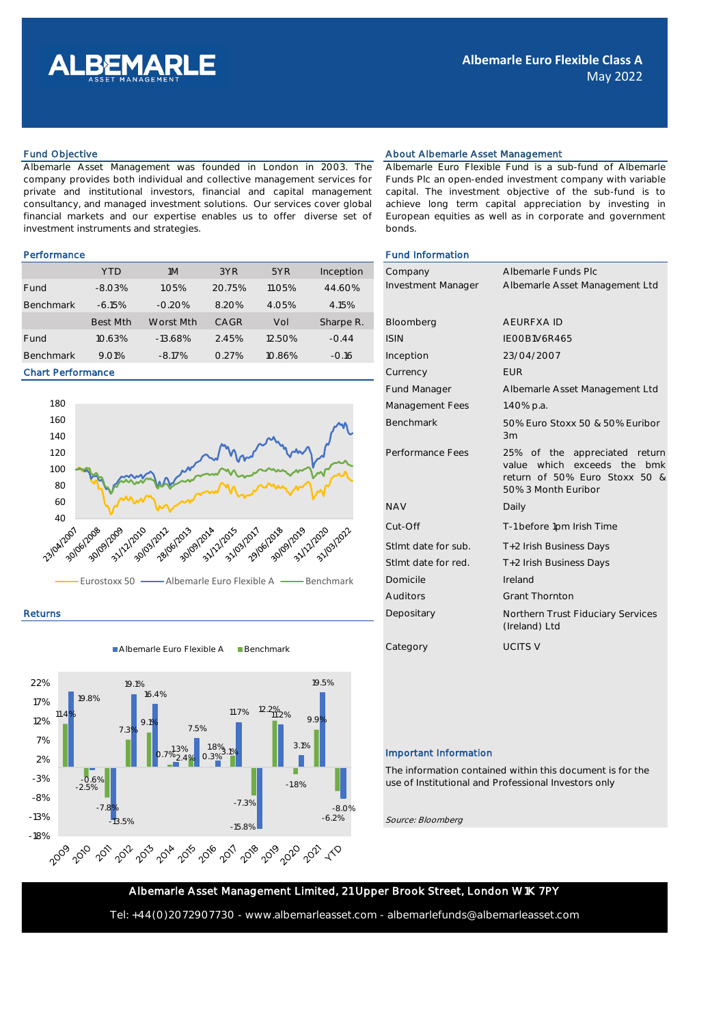

Albemarle Asset Management was founded in London in 2003. The company provides both individual and collective management services for private and institutional investors, financial and capital management consultancy, and managed investment solutions. Our services cover global financial markets and our expertise enables us to offer diverse set of investment instruments and strategies.

|                  | <b>YTD</b> | 1M        | 3YR    | 5YR    | Inception | Company            | Albemarle Fun  |
|------------------|------------|-----------|--------|--------|-----------|--------------------|----------------|
| Fund             | $-8.03%$   | 1.05%     | 20.75% | 11.05% | 44.60%    | Investment Manager | Albemarle Asse |
| <b>Benchmark</b> | $-6.15%$   | $-0.20%$  | 8.20%  | 4.05%  | 4.15%     |                    |                |
|                  | Best Mth   | Worst Mth | CAGR   | Vol    | Sharpe R. | Bloomberg          | AEURFXA ID     |
| Fund             | 10.63%     | $-13.68%$ | 2.45%  | 12.50% | $-0.44$   | <b>ISIN</b>        | IEOOB1V6R465   |
| <b>Benchmark</b> | 9.01%      | $-8.17%$  | 0.27%  | 10.86% | $-0.16$   | Inception          | 23/04/2007     |

### Chart Performance



Returns

Albemarle Euro Flexible A Benchmark



# Fund Objective **About Albemarle Asset Management** About Albemarle Asset Management

Albemarle Euro Flexible Fund is a sub-fund of Albemarle Funds Plc an open-ended investment company with variable capital. The investment objective of the sub-fund is to achieve long term capital appreciation by investing in European equities as well as in corporate and government bonds.

# Performance **Fund Information Fund Information**

| Company             | Albemarle Funds Plc                                                                                                  |  |  |  |
|---------------------|----------------------------------------------------------------------------------------------------------------------|--|--|--|
| Investment Manager  | Albemarle Asset Management Ltd                                                                                       |  |  |  |
|                     |                                                                                                                      |  |  |  |
| Bloomberg           | <b>AFURFXAID</b>                                                                                                     |  |  |  |
| <b>ISIN</b>         | IFOOB1V6R465                                                                                                         |  |  |  |
| Inception           | 23/04/2007                                                                                                           |  |  |  |
| Currency            | <b>FUR</b>                                                                                                           |  |  |  |
| <b>Fund Manager</b> | Albemarle Asset Management Ltd                                                                                       |  |  |  |
| Management Fees     | 1.40% p.a.                                                                                                           |  |  |  |
| <b>Benchmark</b>    | 50% Euro Stoxx 50 & 50% Euribor<br>3m                                                                                |  |  |  |
| Performance Fees    | 25% of the appreciated return<br>value which exceeds the bmk<br>return of 50% Euro Stoxx 50 &<br>50% 3 Month Euribor |  |  |  |
| <b>NAV</b>          | Daily                                                                                                                |  |  |  |
| Cut-Off             | T-1 before 1pm Irish Time                                                                                            |  |  |  |
| Stlmt date for sub. | T+2 Irish Business Days                                                                                              |  |  |  |
| Stlmt date for red. | T+2 Irish Business Days                                                                                              |  |  |  |
| Domicile            | Ireland                                                                                                              |  |  |  |
| <b>Auditors</b>     | <b>Grant Thornton</b>                                                                                                |  |  |  |
| Depositary          | Northern Trust Fiduciary Services<br>(Ireland) Ltd                                                                   |  |  |  |
| Category            | <b>UCITS V</b>                                                                                                       |  |  |  |

# Important Information

The information contained within this document is for the use of Institutional and Professional Investors only

Source: Bloomberg

Albemarle Asset Management Limited, 21 Upper Brook Street, London W1K 7PY

Tel: +44(0)2072907730 - www.albemarleasset.com - albemarlefunds@albemarleasset.com